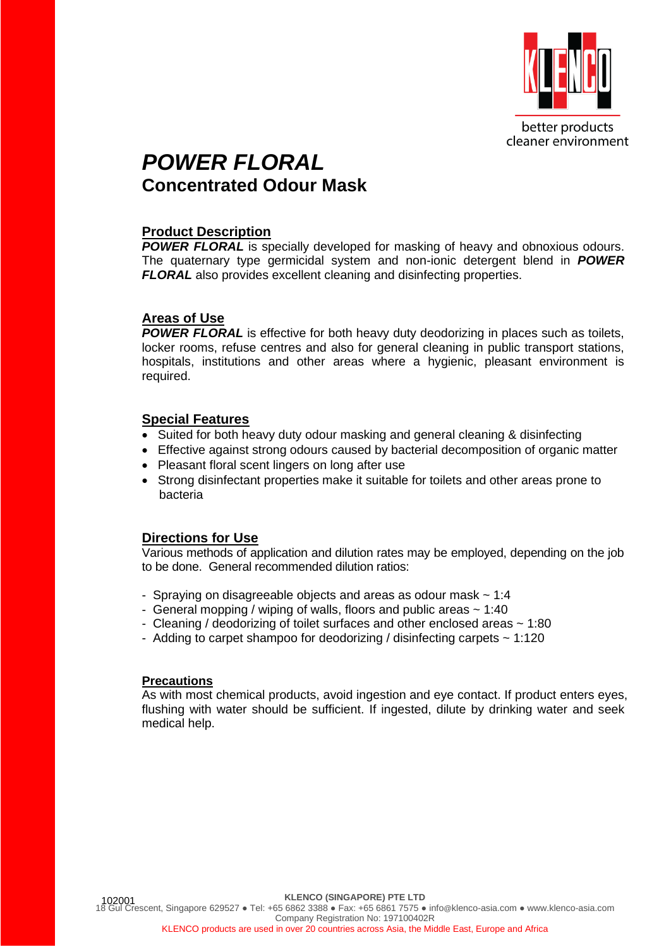

better products cleaner environment

## *POWER FLORAL* **Concentrated Odour Mask**

### **Product Description**

**POWER FLORAL** is specially developed for masking of heavy and obnoxious odours. The quaternary type germicidal system and non-ionic detergent blend in *POWER FLORAL* also provides excellent cleaning and disinfecting properties.

#### **Areas of Use**

**POWER FLORAL** is effective for both heavy duty deodorizing in places such as toilets, locker rooms, refuse centres and also for general cleaning in public transport stations, hospitals, institutions and other areas where a hygienic, pleasant environment is required.

#### **Special Features**

- Suited for both heavy duty odour masking and general cleaning & disinfecting
- Effective against strong odours caused by bacterial decomposition of organic matter
- Pleasant floral scent lingers on long after use
- Strong disinfectant properties make it suitable for toilets and other areas prone to bacteria

#### **Directions for Use**

Various methods of application and dilution rates may be employed, depending on the job to be done. General recommended dilution ratios:

- Spraying on disagreeable objects and areas as odour mask  $\sim 1:4$
- General mopping / wiping of walls, floors and public areas  $\sim 1:40$
- Cleaning / deodorizing of toilet surfaces and other enclosed areas ~ 1:80
- Adding to carpet shampoo for deodorizing / disinfecting carpets ~ 1:120

#### **Precautions**

As with most chemical products, avoid ingestion and eye contact. If product enters eyes, flushing with water should be sufficient. If ingested, dilute by drinking water and seek medical help.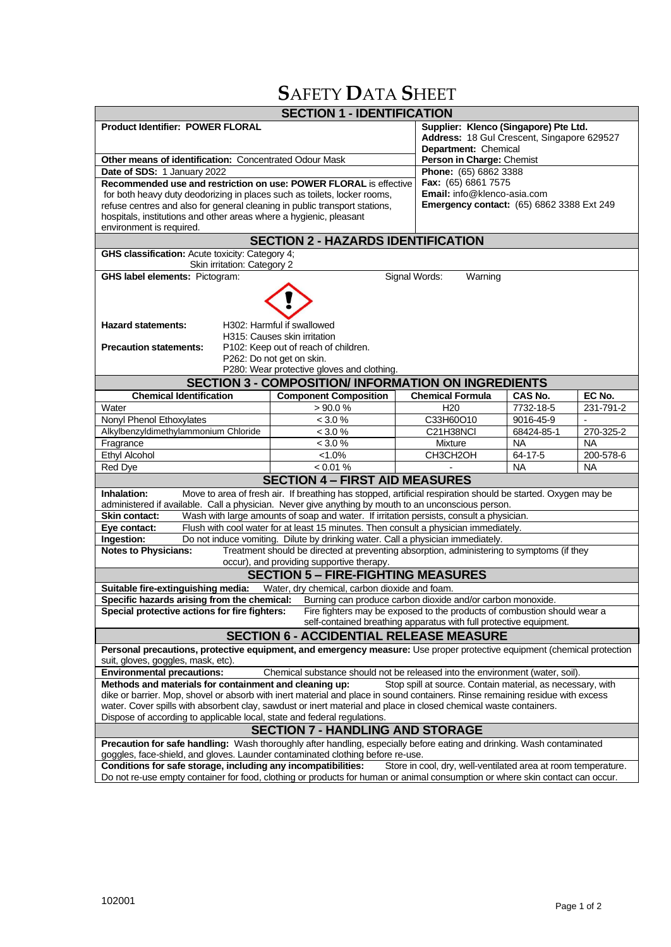# **S**AFETY **D**ATA **S**HEET

| <b>SECTION 1 - IDENTIFICATION</b>                                                                                                                                                                                                                               |                                                                                         |                                                    |                                            |                |  |  |
|-----------------------------------------------------------------------------------------------------------------------------------------------------------------------------------------------------------------------------------------------------------------|-----------------------------------------------------------------------------------------|----------------------------------------------------|--------------------------------------------|----------------|--|--|
| <b>Product Identifier: POWER FLORAL</b>                                                                                                                                                                                                                         |                                                                                         |                                                    | Supplier: Klenco (Singapore) Pte Ltd.      |                |  |  |
|                                                                                                                                                                                                                                                                 |                                                                                         |                                                    | Address: 18 Gul Crescent, Singapore 629527 |                |  |  |
|                                                                                                                                                                                                                                                                 |                                                                                         | Department: Chemical                               |                                            |                |  |  |
| Other means of identification: Concentrated Odour Mask                                                                                                                                                                                                          |                                                                                         | Person in Charge: Chemist<br>Phone: (65) 6862 3388 |                                            |                |  |  |
| Date of SDS: 1 January 2022<br>Recommended use and restriction on use: POWER FLORAL is effective                                                                                                                                                                |                                                                                         | Fax: (65) 6861 7575                                |                                            |                |  |  |
| for both heavy duty deodorizing in places such as toilets, locker rooms,                                                                                                                                                                                        |                                                                                         | Email: info@klenco-asia.com                        |                                            |                |  |  |
| refuse centres and also for general cleaning in public transport stations,                                                                                                                                                                                      |                                                                                         | <b>Emergency contact:</b> (65) 6862 3388 Ext 249   |                                            |                |  |  |
| hospitals, institutions and other areas where a hygienic, pleasant                                                                                                                                                                                              |                                                                                         |                                                    |                                            |                |  |  |
| environment is required.                                                                                                                                                                                                                                        |                                                                                         |                                                    |                                            |                |  |  |
| <b>SECTION 2 - HAZARDS IDENTIFICATION</b>                                                                                                                                                                                                                       |                                                                                         |                                                    |                                            |                |  |  |
| GHS classification: Acute toxicity: Category 4;                                                                                                                                                                                                                 |                                                                                         |                                                    |                                            |                |  |  |
| Skin irritation: Category 2<br>Signal Words:<br><b>GHS label elements: Pictogram:</b><br>Warning                                                                                                                                                                |                                                                                         |                                                    |                                            |                |  |  |
|                                                                                                                                                                                                                                                                 |                                                                                         |                                                    |                                            |                |  |  |
|                                                                                                                                                                                                                                                                 |                                                                                         |                                                    |                                            |                |  |  |
| <b>Hazard statements:</b>                                                                                                                                                                                                                                       | H302: Harmful if swallowed                                                              |                                                    |                                            |                |  |  |
|                                                                                                                                                                                                                                                                 | H315: Causes skin irritation                                                            |                                                    |                                            |                |  |  |
| <b>Precaution statements:</b>                                                                                                                                                                                                                                   | P102: Keep out of reach of children.                                                    |                                                    |                                            |                |  |  |
|                                                                                                                                                                                                                                                                 | P262: Do not get on skin.<br>P280: Wear protective gloves and clothing.                 |                                                    |                                            |                |  |  |
|                                                                                                                                                                                                                                                                 | <b>SECTION 3 - COMPOSITION/ INFORMATION ON INGREDIENTS</b>                              |                                                    |                                            |                |  |  |
| <b>Chemical Identification</b>                                                                                                                                                                                                                                  | <b>Component Composition</b>                                                            | <b>Chemical Formula</b>                            | <b>CAS No.</b>                             | EC No.         |  |  |
| Water                                                                                                                                                                                                                                                           | >90.0%                                                                                  | H <sub>20</sub>                                    | 7732-18-5                                  | 231-791-2      |  |  |
| Nonyl Phenol Ethoxylates                                                                                                                                                                                                                                        | < 3.0 %                                                                                 | C33H60O10                                          | 9016-45-9                                  | $\blacksquare$ |  |  |
| Alkylbenzyldimethylammonium Chloride                                                                                                                                                                                                                            | < 3.0 %                                                                                 | C21H38NCI                                          | 68424-85-1                                 | 270-325-2      |  |  |
| Fragrance                                                                                                                                                                                                                                                       | < 3.0 %                                                                                 | Mixture                                            | <b>NA</b>                                  | <b>NA</b>      |  |  |
| Ethyl Alcohol                                                                                                                                                                                                                                                   | $< 1.0\%$                                                                               | CH3CH2OH                                           | 64-17-5                                    | 200-578-6      |  |  |
| Red Dye                                                                                                                                                                                                                                                         | < 0.01 %                                                                                |                                                    | <b>NA</b>                                  | <b>NA</b>      |  |  |
| <b>SECTION 4 - FIRST AID MEASURES</b>                                                                                                                                                                                                                           |                                                                                         |                                                    |                                            |                |  |  |
| Inhalation:<br>Move to area of fresh air. If breathing has stopped, artificial respiration should be started. Oxygen may be                                                                                                                                     |                                                                                         |                                                    |                                            |                |  |  |
| administered if available. Call a physician. Never give anything by mouth to an unconscious person.                                                                                                                                                             |                                                                                         |                                                    |                                            |                |  |  |
| <b>Skin contact:</b>                                                                                                                                                                                                                                            | Wash with large amounts of soap and water. If irritation persists, consult a physician. |                                                    |                                            |                |  |  |
| Eye contact:<br>Flush with cool water for at least 15 minutes. Then consult a physician immediately.                                                                                                                                                            |                                                                                         |                                                    |                                            |                |  |  |
| Do not induce vomiting. Dilute by drinking water. Call a physician immediately.<br>Ingestion:                                                                                                                                                                   |                                                                                         |                                                    |                                            |                |  |  |
| Treatment should be directed at preventing absorption, administering to symptoms (if they<br><b>Notes to Physicians:</b><br>occur), and providing supportive therapy.                                                                                           |                                                                                         |                                                    |                                            |                |  |  |
| <b>SECTION 5 - FIRE-FIGHTING MEASURES</b>                                                                                                                                                                                                                       |                                                                                         |                                                    |                                            |                |  |  |
| Suitable fire-extinguishing media:<br>Water, dry chemical, carbon dioxide and foam.                                                                                                                                                                             |                                                                                         |                                                    |                                            |                |  |  |
| Specific hazards arising from the chemical:<br>Burning can produce carbon dioxide and/or carbon monoxide.                                                                                                                                                       |                                                                                         |                                                    |                                            |                |  |  |
| Special protective actions for fire fighters:<br>Fire fighters may be exposed to the products of combustion should wear a<br>self-contained breathing apparatus with full protective equipment.                                                                 |                                                                                         |                                                    |                                            |                |  |  |
| <b>SECTION 6 - ACCIDENTIAL RELEASE MEASURE</b>                                                                                                                                                                                                                  |                                                                                         |                                                    |                                            |                |  |  |
| Personal precautions, protective equipment, and emergency measure: Use proper protective equipment (chemical protection                                                                                                                                         |                                                                                         |                                                    |                                            |                |  |  |
| suit, gloves, goggles, mask, etc).                                                                                                                                                                                                                              |                                                                                         |                                                    |                                            |                |  |  |
| Chemical substance should not be released into the environment (water, soil).<br><b>Environmental precautions:</b>                                                                                                                                              |                                                                                         |                                                    |                                            |                |  |  |
| Methods and materials for containment and cleaning up:<br>Stop spill at source. Contain material, as necessary, with                                                                                                                                            |                                                                                         |                                                    |                                            |                |  |  |
| dike or barrier. Mop, shovel or absorb with inert material and place in sound containers. Rinse remaining residue with excess<br>water. Cover spills with absorbent clay, sawdust or inert material and place in closed chemical waste containers.              |                                                                                         |                                                    |                                            |                |  |  |
| Dispose of according to applicable local, state and federal regulations.                                                                                                                                                                                        |                                                                                         |                                                    |                                            |                |  |  |
| <b>SECTION 7 - HANDLING AND STORAGE</b>                                                                                                                                                                                                                         |                                                                                         |                                                    |                                            |                |  |  |
| Precaution for safe handling: Wash thoroughly after handling, especially before eating and drinking. Wash contaminated                                                                                                                                          |                                                                                         |                                                    |                                            |                |  |  |
| goggles, face-shield, and gloves. Launder contaminated clothing before re-use.                                                                                                                                                                                  |                                                                                         |                                                    |                                            |                |  |  |
| Store in cool, dry, well-ventilated area at room temperature.<br>Conditions for safe storage, including any incompatibilities:<br>Do not re-use empty container for food, clothing or products for human or animal consumption or where skin contact can occur. |                                                                                         |                                                    |                                            |                |  |  |
|                                                                                                                                                                                                                                                                 |                                                                                         |                                                    |                                            |                |  |  |